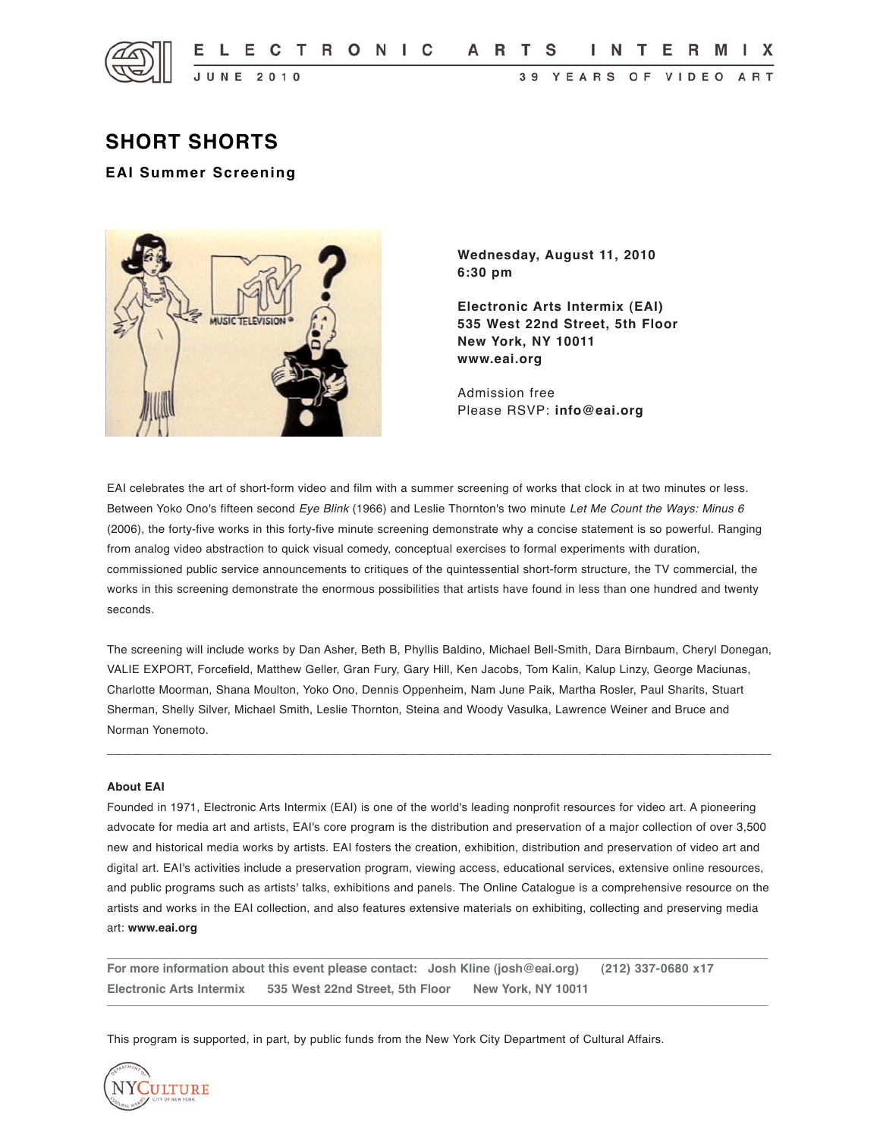

# **SHORT SHORTS**

# **EAI Summer Screening**



**Wednesday, August 11, 2010 6:30 pm**

**Electronic Arts Intermix (EAI) 535 West 22nd Street, 5th Floor New York, NY 10011 www.eai.org**

Admission free Please RSVP: **info@eai.org**

EAI celebrates the art of short-form video and film with a summer screening of works that clock in at two minutes or less. Between Yoko Ono's fifteen second *Eye Blink* (1966) and Leslie Thornton's two minute *Let Me Count the Ways: Minus 6* (2006), the forty-five works in this forty-five minute screening demonstrate why a concise statement is so powerful. Ranging from analog video abstraction to quick visual comedy, conceptual exercises to formal experiments with duration, commissioned public service announcements to critiques of the quintessential short-form structure, the TV commercial, the works in this screening demonstrate the enormous possibilities that artists have found in less than one hundred and twenty seconds.

The screening will include works by Dan Asher, Beth B, Phyllis Baldino, Michael Bell-Smith, Dara Birnbaum, Cheryl Donegan, VALIE EXPORT, Forcefield, Matthew Geller, Gran Fury, Gary Hill, Ken Jacobs, Tom Kalin, Kalup Linzy, George Maciunas, Charlotte Moorman, Shana Moulton, Yoko Ono, Dennis Oppenheim, Nam June Paik, Martha Rosler, Paul Sharits, Stuart Sherman, Shelly Silver, Michael Smith, Leslie Thornton, Steina and Woody Vasulka, Lawrence Weiner and Bruce and Norman Yonemoto.

\_\_\_\_\_\_\_\_\_\_\_\_\_\_\_\_\_\_\_\_\_\_\_\_\_\_\_\_\_\_\_\_\_\_\_\_\_\_\_\_\_\_\_\_\_\_\_\_\_\_\_\_\_\_\_\_\_\_\_\_\_\_\_\_\_\_\_\_\_\_\_\_\_\_\_\_\_\_\_\_\_\_\_\_\_\_\_\_\_\_\_\_\_\_\_\_\_\_\_\_\_

#### **About EAI**

Founded in 1971, Electronic Arts Intermix (EAI) is one of the world's leading nonprofit resources for video art. A pioneering advocate for media art and artists, EAI's core program is the distribution and preservation of a major collection of over 3,500 new and historical media works by artists. EAI fosters the creation, exhibition, distribution and preservation of video art and digital art. EAI's activities include a preservation program, viewing access, educational services, extensive online resources, and public programs such as artists' talks, exhibitions and panels. The Online Catalogue is a comprehensive resource on the artists and works in the EAI collection, and also features extensive materials on exhibiting, collecting and preserving media art: **www.eai.org**

 $\_$  ,  $\_$  ,  $\_$  ,  $\_$  ,  $\_$  ,  $\_$  ,  $\_$  ,  $\_$  ,  $\_$  ,  $\_$  ,  $\_$  ,  $\_$  ,  $\_$  ,  $\_$  ,  $\_$  ,  $\_$  ,  $\_$  ,  $\_$  ,  $\_$  ,  $\_$  ,  $\_$  ,  $\_$  ,  $\_$  ,  $\_$  ,  $\_$  ,  $\_$  ,  $\_$  ,  $\_$  ,  $\_$  ,  $\_$  ,  $\_$  ,  $\_$  ,  $\_$  ,  $\_$  ,  $\_$  ,  $\_$  ,  $\_$  ,

**For more information about this event please contact: Josh Kline (josh@eai.org) (212) 337-0680 x17 Electronic Arts Intermix 535 West 22nd Street, 5th Floor New York, NY 10011**  $\_$  , and the set of the set of the set of the set of the set of the set of the set of the set of the set of the set of the set of the set of the set of the set of the set of the set of the set of the set of the set of th

This program is supported, in part, by public funds from the New York City Department of Cultural Affairs.